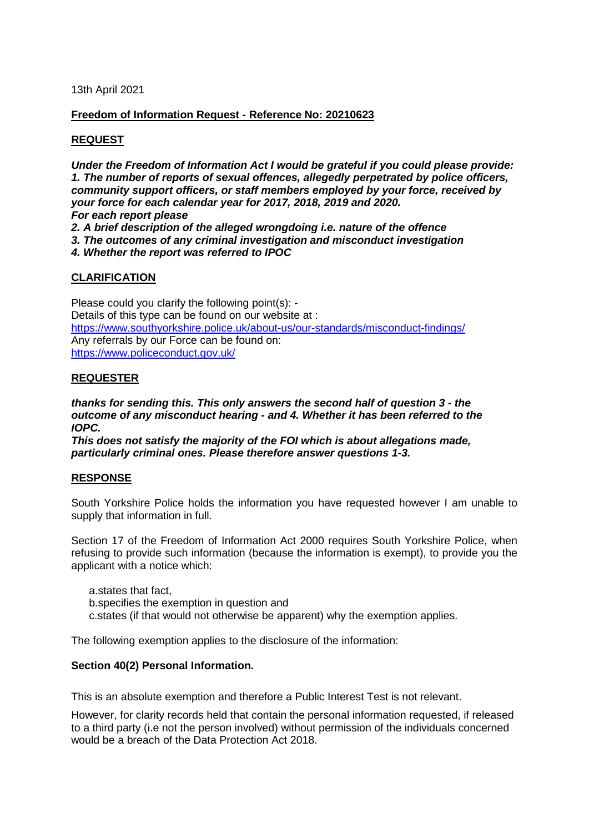13th April 2021

## **Freedom of Information Request - Reference No: 20210623**

# **REQUEST**

*Under the Freedom of Information Act I would be grateful if you could please provide: 1. The number of reports of sexual offences, allegedly perpetrated by police officers, community support officers, or staff members employed by your force, received by your force for each calendar year for 2017, 2018, 2019 and 2020. For each report please*

*2. A brief description of the alleged wrongdoing i.e. nature of the offence* 

*3. The outcomes of any criminal investigation and misconduct investigation* 

*4. Whether the report was referred to IPOC*

## **CLARIFICATION**

Please could you clarify the following point(s): - Details of this type can be found on our website at : <https://www.southyorkshire.police.uk/about-us/our-standards/misconduct-findings/> Any referrals by our Force can be found on: <https://www.policeconduct.gov.uk/>

## **REQUESTER**

*thanks for sending this. This only answers the second half of question 3 - the outcome of any misconduct hearing - and 4. Whether it has been referred to the IOPC.*

*This does not satisfy the majority of the FOI which is about allegations made, particularly criminal ones. Please therefore answer questions 1-3.*

## **RESPONSE**

South Yorkshire Police holds the information you have requested however I am unable to supply that information in full.

Section 17 of the Freedom of Information Act 2000 requires South Yorkshire Police, when refusing to provide such information (because the information is exempt), to provide you the applicant with a notice which:

a.states that fact,

b.specifies the exemption in question and

c.states (if that would not otherwise be apparent) why the exemption applies.

The following exemption applies to the disclosure of the information:

### **Section 40(2) Personal Information.**

This is an absolute exemption and therefore a Public Interest Test is not relevant.

However, for clarity records held that contain the personal information requested, if released to a third party (i.e not the person involved) without permission of the individuals concerned would be a breach of the Data Protection Act 2018.